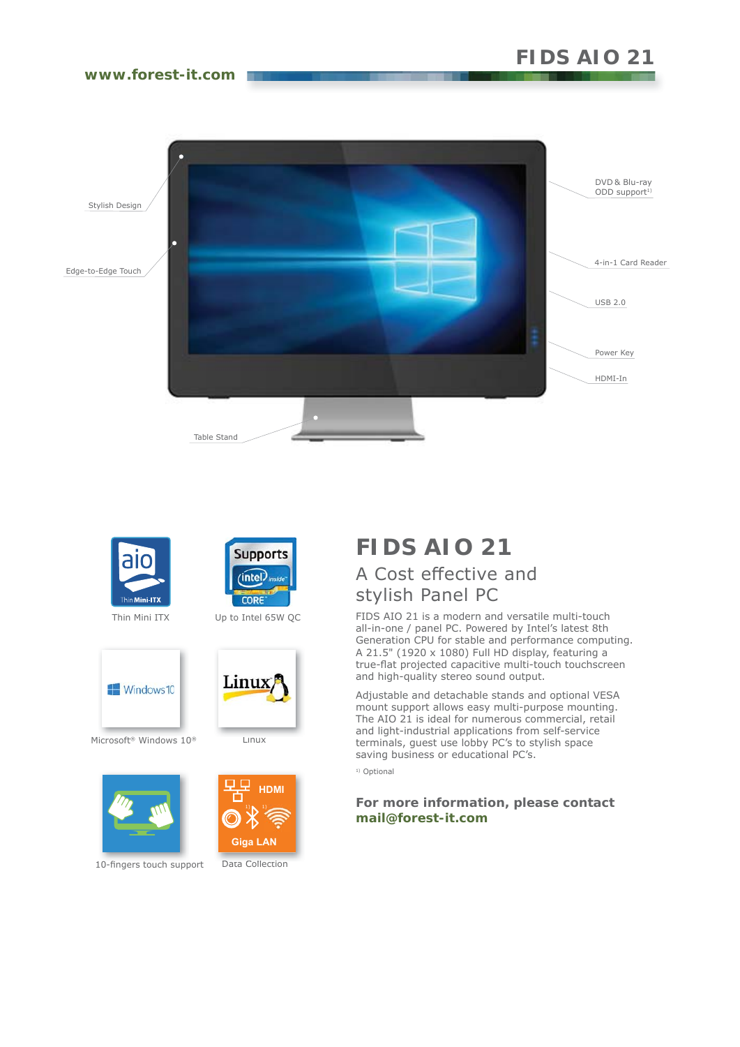# **FIDS AIO 21**

## **www.forest-it.com**







Up to Intel 65W QC



Microsoft® Windows 10®



10-fingers touch support







Data Collection

## **FIDS AIO 21** A Cost effective and stylish Panel PC

FIDS AIO 21 is a modern and versatile multi-touch all-in-one / panel PC. Powered by Intel's latest 8th Generation CPU for stable and performance computing. A 21.5" (1920 x 1080) Full HD display, featuring a true-flat projected capacitive multi-touch touchscreen and high-quality stereo sound output.

Adjustable and detachable stands and optional VESA mount support allows easy multi-purpose mounting. The AIO 21 is ideal for numerous commercial, retail and light-industrial applications from self-service terminals, guest use lobby PC's to stylish space saving business or educational PC's.

<sup>1)</sup> Optional

## **For more information, please contact mail@forest-it.com**